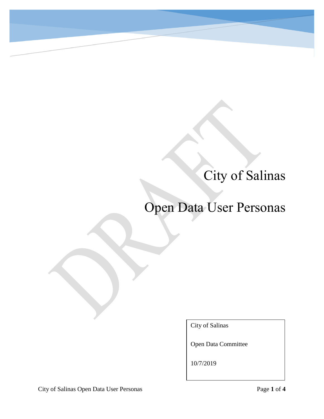## City of Salinas

## Open Data User Personas

City of Salinas

Open Data Committee

10/7/2019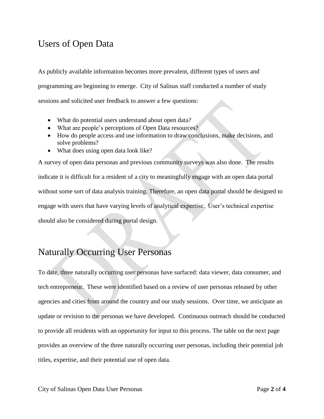## Users of Open Data

As publicly available information becomes more prevalent, different types of users and programming are beginning to emerge. City of Salinas staff conducted a number of study sessions and solicited user feedback to answer a few questions:

- What do potential users understand about open data?
- What are people's perceptions of Open Data resources?
- How do people access and use information to draw conclusions, make decisions, and solve problems?
- What does using open data look like?

A survey of open data personas and previous community surveys was also done. The results indicate it is difficult for a resident of a city to meaningfully engage with an open data portal without some sort of data analysis training. Therefore, an open data portal should be designed to engage with users that have varying levels of analytical expertise. User's technical expertise should also be considered during portal design.

## Naturally Occurring User Personas

To date, three naturally occurring user personas have surfaced: data viewer, data consumer, and tech entrepreneur. These were identified based on a review of user personas released by other agencies and cities from around the country and our study sessions. Over time, we anticipate an update or revision to the personas we have developed. Continuous outreach should be conducted to provide all residents with an opportunity for input to this process. The table on the next page provides an overview of the three naturally occurring user personas, including their potential job titles, expertise, and their potential use of open data.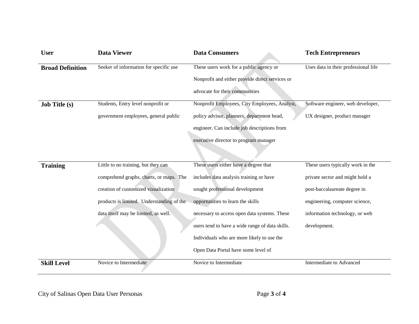| <b>User</b>             | <b>Data Viewer</b>                        | <b>Data Consumers</b>                           | <b>Tech Entrepreneurs</b>            |
|-------------------------|-------------------------------------------|-------------------------------------------------|--------------------------------------|
| <b>Broad Definition</b> | Seeker of information for specific use    | These users work for a public agency or         | Uses data in their professional life |
|                         |                                           | Nonprofit and either provide direct services or |                                      |
|                         |                                           | advocate for their communities                  |                                      |
| <b>Job Title (s)</b>    | Students, Entry level nonprofit or        | Nonprofit Employees, City Employees, Analyst,   | Software engineer, web developer,    |
|                         | government employees, general public      | policy advisor, planners, department head,      | UX designer, product manager         |
|                         |                                           | engineer. Can include job descriptions from     |                                      |
|                         |                                           | executive director to program manager           |                                      |
|                         |                                           |                                                 |                                      |
| <b>Training</b>         | Little to no training, but they can       | These users either have a degree that           | These users typically work in the    |
|                         | comprehend graphs, charts, or maps. The   | includes data analysis training or have         | private sector and might hold a      |
|                         | creation of customized visualization      | sought professional development                 | post-baccalaureate degree in         |
|                         | products is limited. Understanding of the | opportunities to learn the skills               | engineering, computer science,       |
|                         | data itself may be limited, as well.      | necessary to access open data systems. These    | information technology, or web       |
|                         |                                           | users tend to have a wide range of data skills. | development.                         |
|                         |                                           | Individuals who are more likely to use the      |                                      |
|                         |                                           | Open Data Portal have some level of             |                                      |
| <b>Skill Level</b>      | Novice to Intermediate                    | Novice to Intermediate                          | Intermediate to Advanced             |

City of Salinas Open Data User Personas Page **3** of **4**